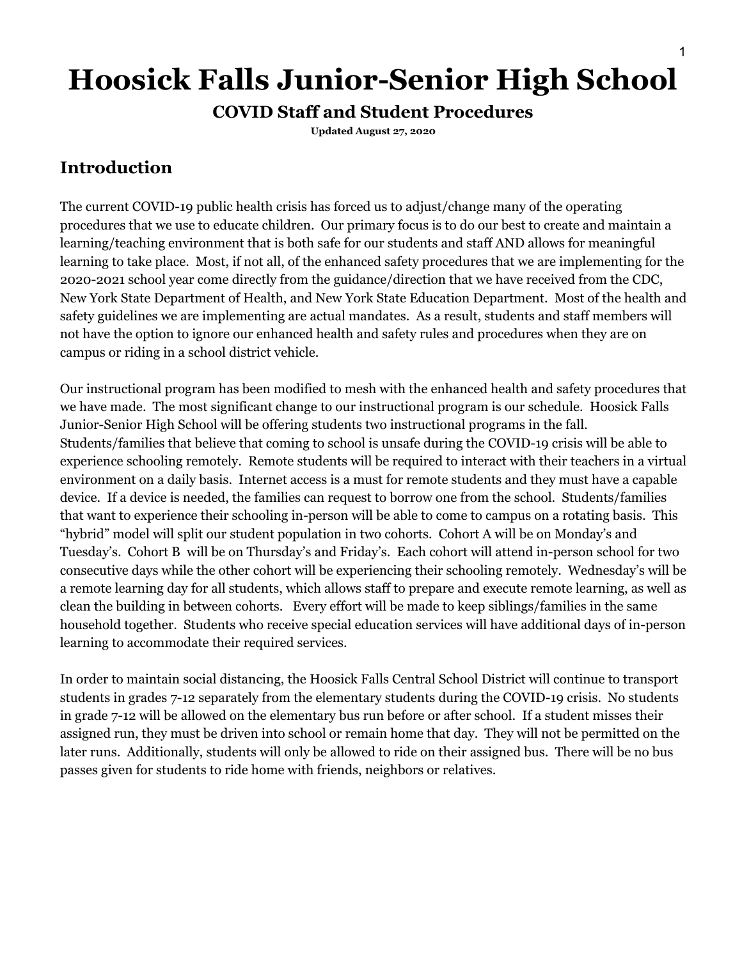# **Hoosick Falls Junior-Senior High School**

#### **COVID Staff and Student Procedures**

**Updated August 27, 2020**

### **Introduction**

The current COVID-19 public health crisis has forced us to adjust/change many of the operating procedures that we use to educate children. Our primary focus is to do our best to create and maintain a learning/teaching environment that is both safe for our students and staff AND allows for meaningful learning to take place. Most, if not all, of the enhanced safety procedures that we are implementing for the 2020-2021 school year come directly from the guidance/direction that we have received from the CDC, New York State Department of Health, and New York State Education Department. Most of the health and safety guidelines we are implementing are actual mandates. As a result, students and staff members will not have the option to ignore our enhanced health and safety rules and procedures when they are on campus or riding in a school district vehicle.

Our instructional program has been modified to mesh with the enhanced health and safety procedures that we have made. The most significant change to our instructional program is our schedule. Hoosick Falls Junior-Senior High School will be offering students two instructional programs in the fall. Students/families that believe that coming to school is unsafe during the COVID-19 crisis will be able to experience schooling remotely. Remote students will be required to interact with their teachers in a virtual environment on a daily basis. Internet access is a must for remote students and they must have a capable device. If a device is needed, the families can request to borrow one from the school. Students/families that want to experience their schooling in-person will be able to come to campus on a rotating basis. This "hybrid" model will split our student population in two cohorts. Cohort A will be on Monday's and Tuesday's. Cohort B will be on Thursday's and Friday's. Each cohort will attend in-person school for two consecutive days while the other cohort will be experiencing their schooling remotely. Wednesday's will be a remote learning day for all students, which allows staff to prepare and execute remote learning, as well as clean the building in between cohorts. Every effort will be made to keep siblings/families in the same household together. Students who receive special education services will have additional days of in-person learning to accommodate their required services.

In order to maintain social distancing, the Hoosick Falls Central School District will continue to transport students in grades 7-12 separately from the elementary students during the COVID-19 crisis. No students in grade 7-12 will be allowed on the elementary bus run before or after school. If a student misses their assigned run, they must be driven into school or remain home that day. They will not be permitted on the later runs. Additionally, students will only be allowed to ride on their assigned bus. There will be no bus passes given for students to ride home with friends, neighbors or relatives.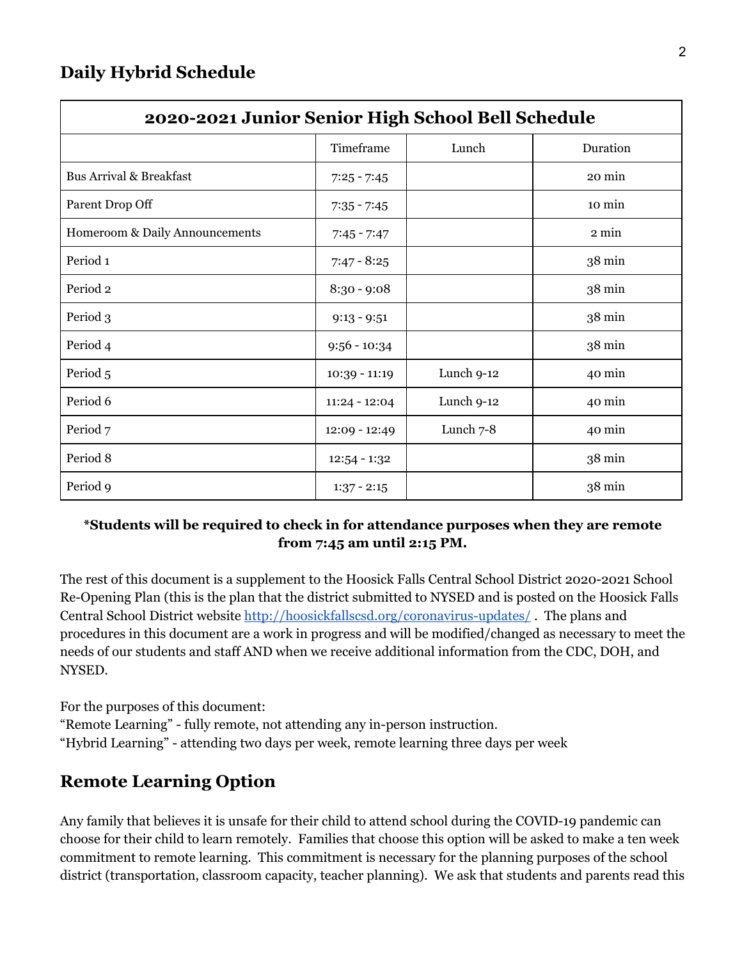| 2020-2021 Junior Senior High School Bell Schedule |                 |            |                  |  |
|---------------------------------------------------|-----------------|------------|------------------|--|
|                                                   | Timeframe       | Lunch      | Duration         |  |
| <b>Bus Arrival &amp; Breakfast</b>                | $7:25 - 7:45$   |            | 20 min           |  |
| Parent Drop Off                                   | $7:35 - 7:45$   |            | 10 min           |  |
| Homeroom & Daily Announcements                    | $7:45 - 7:47$   |            | 2 min            |  |
| Period 1                                          | $7:47 - 8:25$   |            | 38 min           |  |
| Period 2                                          | $8:30 - 9:08$   |            | 38 min           |  |
| Period 3                                          | $9:13 - 9:51$   |            | $38 \text{ min}$ |  |
| Period 4                                          | $9:56 - 10:34$  |            | 38 min           |  |
| Period 5                                          | $10:39 - 11:19$ | Lunch 9-12 | 40 min           |  |
| Period 6                                          | $11:24 - 12:04$ | Lunch 9-12 | 40 min           |  |
| Period 7                                          | $12:09 - 12:49$ | Lunch 7-8  | 40 min           |  |
| Period 8                                          | $12:54 - 1:32$  |            | 38 min           |  |
| Period 9                                          | $1:37 - 2:15$   |            | $38 \text{ min}$ |  |

#### **\*Students will be required to check in for attendance purposes when they are remote from 7:45 am until 2:15 PM.**

The rest of this document is a supplement to the Hoosick Falls Central School District 2020-2021 School Re-Opening Plan (this is the plan that the district submitted to NYSED and is posted on the Hoosick Falls Central School District website <http://hoosickfallscsd.org/coronavirus-updates/> . The plans and procedures in this document are a work in progress and will be modified/changed as necessary to meet the needs of our students and staff AND when we receive additional information from the CDC, DOH, and NYSED.

For the purposes of this document:

"Remote Learning" - fully remote, not attending any in-person instruction. "Hybrid Learning" - attending two days per week, remote learning three days per week

# **Remote Learning Option**

Any family that believes it is unsafe for their child to attend school during the COVID-19 pandemic can choose for their child to learn remotely. Families that choose this option will be asked to make a ten week commitment to remote learning. This commitment is necessary for the planning purposes of the school district (transportation, classroom capacity, teacher planning). We ask that students and parents read this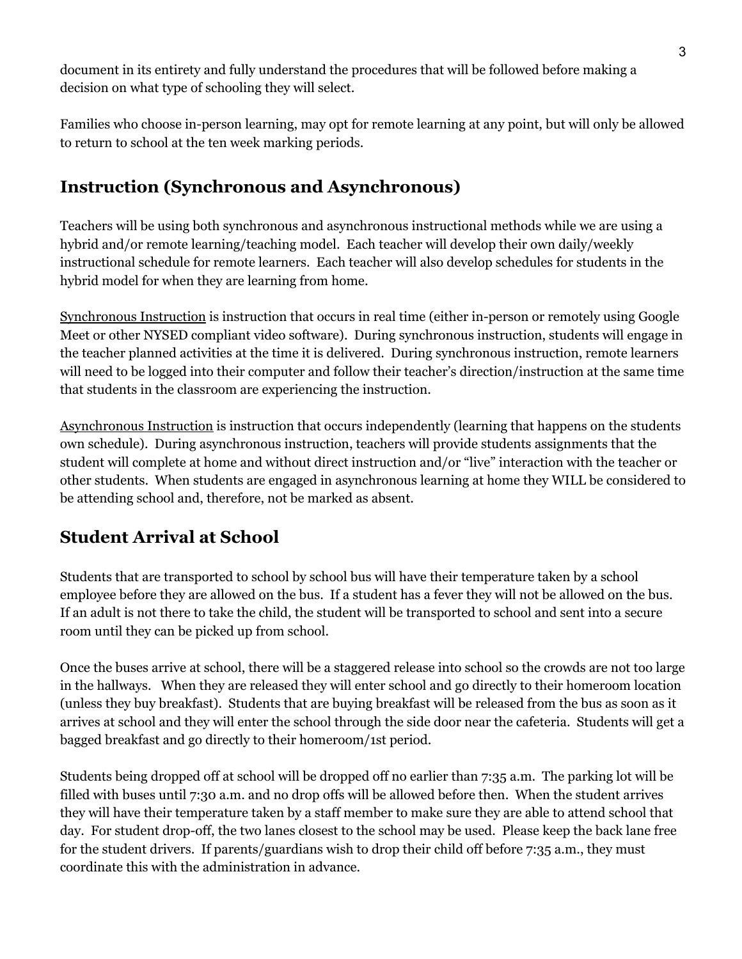document in its entirety and fully understand the procedures that will be followed before making a decision on what type of schooling they will select.

Families who choose in-person learning, may opt for remote learning at any point, but will only be allowed to return to school at the ten week marking periods.

### **Instruction (Synchronous and Asynchronous)**

Teachers will be using both synchronous and asynchronous instructional methods while we are using a hybrid and/or remote learning/teaching model. Each teacher will develop their own daily/weekly instructional schedule for remote learners. Each teacher will also develop schedules for students in the hybrid model for when they are learning from home.

Synchronous Instruction is instruction that occurs in real time (either in-person or remotely using Google Meet or other NYSED compliant video software). During synchronous instruction, students will engage in the teacher planned activities at the time it is delivered. During synchronous instruction, remote learners will need to be logged into their computer and follow their teacher's direction/instruction at the same time that students in the classroom are experiencing the instruction.

Asynchronous Instruction is instruction that occurs independently (learning that happens on the students own schedule). During asynchronous instruction, teachers will provide students assignments that the student will complete at home and without direct instruction and/or "live" interaction with the teacher or other students. When students are engaged in asynchronous learning at home they WILL be considered to be attending school and, therefore, not be marked as absent.

# **Student Arrival at School**

Students that are transported to school by school bus will have their temperature taken by a school employee before they are allowed on the bus. If a student has a fever they will not be allowed on the bus. If an adult is not there to take the child, the student will be transported to school and sent into a secure room until they can be picked up from school.

Once the buses arrive at school, there will be a staggered release into school so the crowds are not too large in the hallways. When they are released they will enter school and go directly to their homeroom location (unless they buy breakfast). Students that are buying breakfast will be released from the bus as soon as it arrives at school and they will enter the school through the side door near the cafeteria. Students will get a bagged breakfast and go directly to their homeroom/1st period.

Students being dropped off at school will be dropped off no earlier than 7:35 a.m. The parking lot will be filled with buses until 7:30 a.m. and no drop offs will be allowed before then. When the student arrives they will have their temperature taken by a staff member to make sure they are able to attend school that day. For student drop-off, the two lanes closest to the school may be used. Please keep the back lane free for the student drivers. If parents/guardians wish to drop their child off before 7:35 a.m., they must coordinate this with the administration in advance.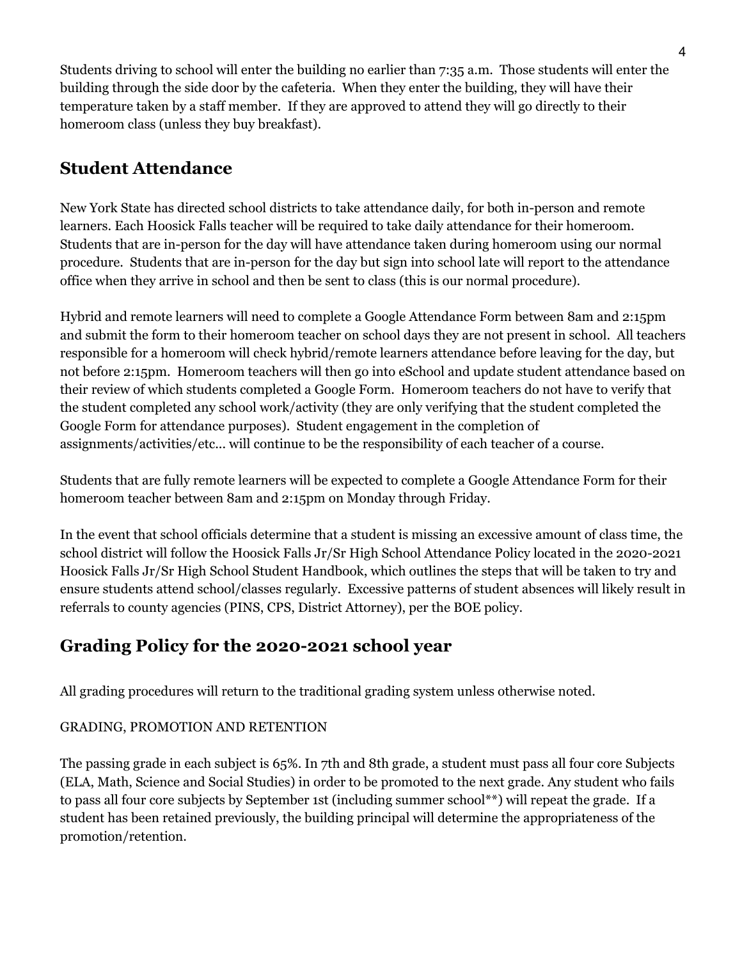Students driving to school will enter the building no earlier than 7:35 a.m. Those students will enter the building through the side door by the cafeteria. When they enter the building, they will have their temperature taken by a staff member. If they are approved to attend they will go directly to their homeroom class (unless they buy breakfast).

### **Student Attendance**

New York State has directed school districts to take attendance daily, for both in-person and remote learners. Each Hoosick Falls teacher will be required to take daily attendance for their homeroom. Students that are in-person for the day will have attendance taken during homeroom using our normal procedure. Students that are in-person for the day but sign into school late will report to the attendance office when they arrive in school and then be sent to class (this is our normal procedure).

Hybrid and remote learners will need to complete a Google Attendance Form between 8am and 2:15pm and submit the form to their homeroom teacher on school days they are not present in school. All teachers responsible for a homeroom will check hybrid/remote learners attendance before leaving for the day, but not before 2:15pm. Homeroom teachers will then go into eSchool and update student attendance based on their review of which students completed a Google Form. Homeroom teachers do not have to verify that the student completed any school work/activity (they are only verifying that the student completed the Google Form for attendance purposes). Student engagement in the completion of assignments/activities/etc... will continue to be the responsibility of each teacher of a course.

Students that are fully remote learners will be expected to complete a Google Attendance Form for their homeroom teacher between 8am and 2:15pm on Monday through Friday.

In the event that school officials determine that a student is missing an excessive amount of class time, the school district will follow the Hoosick Falls Jr/Sr High School Attendance Policy located in the 2020-2021 Hoosick Falls Jr/Sr High School Student Handbook, which outlines the steps that will be taken to try and ensure students attend school/classes regularly. Excessive patterns of student absences will likely result in referrals to county agencies (PINS, CPS, District Attorney), per the BOE policy.

#### **Grading Policy for the 2020-2021 school year**

All grading procedures will return to the traditional grading system unless otherwise noted.

#### GRADING, PROMOTION AND RETENTION

The passing grade in each subject is 65%. In 7th and 8th grade, a student must pass all four core Subjects (ELA, Math, Science and Social Studies) in order to be promoted to the next grade. Any student who fails to pass all four core subjects by September 1st (including summer school\*\*) will repeat the grade. If a student has been retained previously, the building principal will determine the appropriateness of the promotion/retention.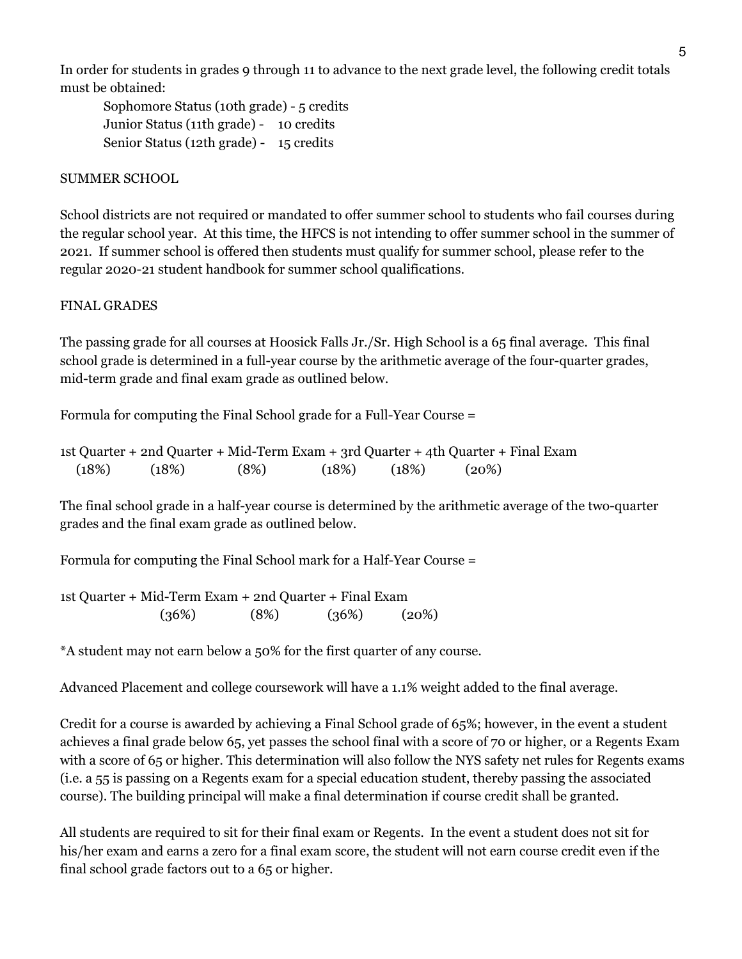In order for students in grades 9 through 11 to advance to the next grade level, the following credit totals must be obtained:

Sophomore Status (10th grade) - 5 credits Junior Status (11th grade) - 10 credits Senior Status (12th grade) - 15 credits

#### SUMMER SCHOOL

School districts are not required or mandated to offer summer school to students who fail courses during the regular school year. At this time, the HFCS is not intending to offer summer school in the summer of 2021. If summer school is offered then students must qualify for summer school, please refer to the regular 2020-21 student handbook for summer school qualifications.

#### FINAL GRADES

The passing grade for all courses at Hoosick Falls Jr./Sr. High School is a 65 final average. This final school grade is determined in a full-year course by the arithmetic average of the four-quarter grades, mid-term grade and final exam grade as outlined below.

Formula for computing the Final School grade for a Full-Year Course =

1st Quarter + 2nd Quarter + Mid-Term Exam + 3rd Quarter + 4th Quarter + Final Exam  $(18\%)$   $(18\%)$   $(8\%)$   $(18\%)$   $(18\%)$   $(20\%)$ 

The final school grade in a half-year course is determined by the arithmetic average of the two-quarter grades and the final exam grade as outlined below.

Formula for computing the Final School mark for a Half-Year Course =

1st Quarter + Mid-Term Exam + 2nd Quarter + Final Exam  $(36\%)$   $(8\%)$   $(36\%)$   $(20\%)$ 

\*A student may not earn below a 50% for the first quarter of any course.

Advanced Placement and college coursework will have a 1.1% weight added to the final average.

Credit for a course is awarded by achieving a Final School grade of 65%; however, in the event a student achieves a final grade below 65, yet passes the school final with a score of 70 or higher, or a Regents Exam with a score of 65 or higher. This determination will also follow the NYS safety net rules for Regents exams (i.e. a 55 is passing on a Regents exam for a special education student, thereby passing the associated course). The building principal will make a final determination if course credit shall be granted.

All students are required to sit for their final exam or Regents. In the event a student does not sit for his/her exam and earns a zero for a final exam score, the student will not earn course credit even if the final school grade factors out to a 65 or higher.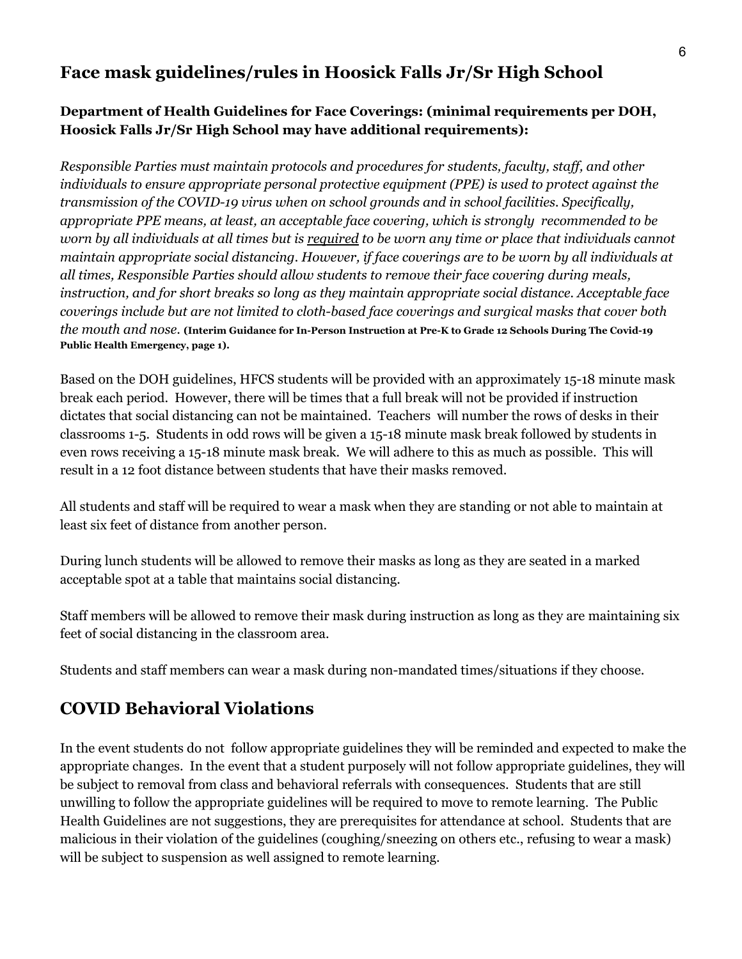#### **Face mask guidelines/rules in Hoosick Falls Jr/Sr High School**

#### **Department of Health Guidelines for Face Coverings: (minimal requirements per DOH, Hoosick Falls Jr/Sr High School may have additional requirements):**

*Responsible Parties must maintain protocols and procedures for students, faculty, staff, and other individuals to ensure appropriate personal protective equipment (PPE) is used to protect against the transmission of the COVID-19 virus when on school grounds and in school facilities. Specifically, appropriate PPE means, at least, an acceptable face covering, which is strongly recommended to be* worn by all individuals at all times but is required to be worn any time or place that individuals cannot *maintain appropriate social distancing. However, if face coverings are to be worn by all individuals at all times, Responsible Parties should allow students to remove their face covering during meals, instruction, and for short breaks so long as they maintain appropriate social distance. Acceptable face coverings include but are not limited to cloth-based face coverings and surgical masks that cover both* the mouth and nose. (Interim Guidance for In-Person Instruction at Pre-K to Grade 12 Schools During The Covid-19 **Public Health Emergency, page 1).**

Based on the DOH guidelines, HFCS students will be provided with an approximately 15-18 minute mask break each period. However, there will be times that a full break will not be provided if instruction dictates that social distancing can not be maintained. Teachers will number the rows of desks in their classrooms 1-5. Students in odd rows will be given a 15-18 minute mask break followed by students in even rows receiving a 15-18 minute mask break. We will adhere to this as much as possible. This will result in a 12 foot distance between students that have their masks removed.

All students and staff will be required to wear a mask when they are standing or not able to maintain at least six feet of distance from another person.

During lunch students will be allowed to remove their masks as long as they are seated in a marked acceptable spot at a table that maintains social distancing.

Staff members will be allowed to remove their mask during instruction as long as they are maintaining six feet of social distancing in the classroom area.

Students and staff members can wear a mask during non-mandated times/situations if they choose.

# **COVID Behavioral Violations**

In the event students do not follow appropriate guidelines they will be reminded and expected to make the appropriate changes. In the event that a student purposely will not follow appropriate guidelines, they will be subject to removal from class and behavioral referrals with consequences. Students that are still unwilling to follow the appropriate guidelines will be required to move to remote learning. The Public Health Guidelines are not suggestions, they are prerequisites for attendance at school. Students that are malicious in their violation of the guidelines (coughing/sneezing on others etc., refusing to wear a mask) will be subject to suspension as well assigned to remote learning.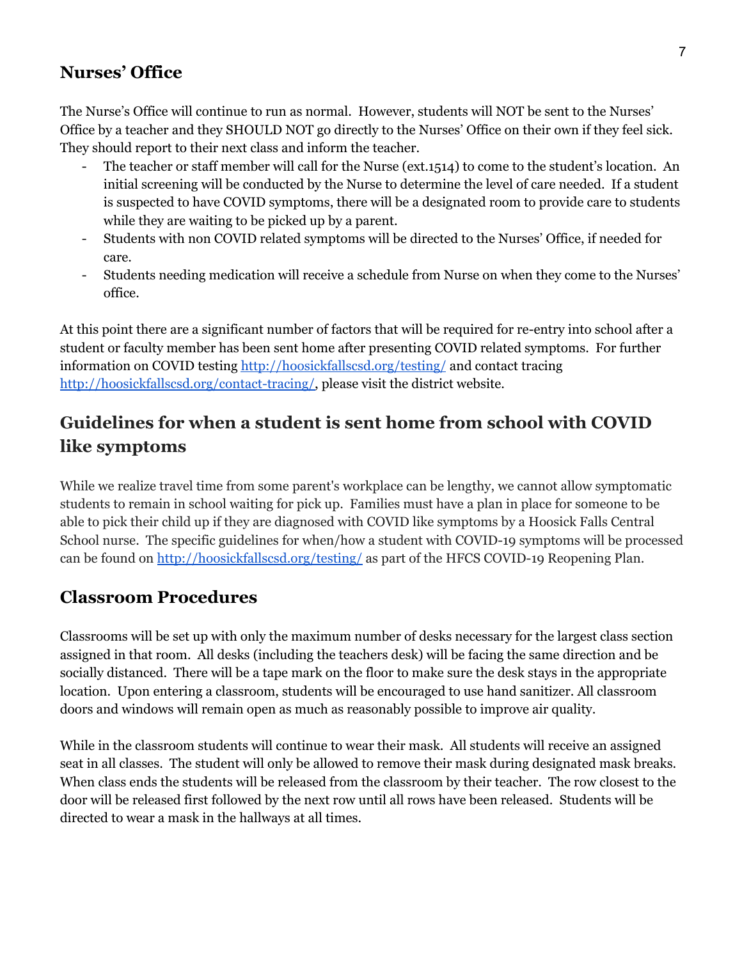#### **Nurses' Office**

The Nurse's Office will continue to run as normal. However, students will NOT be sent to the Nurses' Office by a teacher and they SHOULD NOT go directly to the Nurses' Office on their own if they feel sick. They should report to their next class and inform the teacher.

- The teacher or staff member will call for the Nurse (ext.1514) to come to the student's location. An initial screening will be conducted by the Nurse to determine the level of care needed. If a student is suspected to have COVID symptoms, there will be a designated room to provide care to students while they are waiting to be picked up by a parent.
- Students with non COVID related symptoms will be directed to the Nurses' Office, if needed for care.
- Students needing medication will receive a schedule from Nurse on when they come to the Nurses' office.

At this point there are a significant number of factors that will be required for re-entry into school after a student or faculty member has been sent home after presenting COVID related symptoms. For further information on COVID testing <http://hoosickfallscsd.org/testing/> and contact tracing [http://hoosickfallscsd.org/contact-tracing/,](http://hoosickfallscsd.org/contact-tracing/) please visit the district website.

# **Guidelines for when a student is sent home from school with COVID like symptoms**

While we realize travel time from some parent's workplace can be lengthy, we cannot allow symptomatic students to remain in school waiting for pick up. Families must have a plan in place for someone to be able to pick their child up if they are diagnosed with COVID like symptoms by a Hoosick Falls Central School nurse. The specific guidelines for when/how a student with COVID-19 symptoms will be processed can be found on <http://hoosickfallscsd.org/testing/> as part of the HFCS COVID-19 Reopening Plan.

#### **Classroom Procedures**

Classrooms will be set up with only the maximum number of desks necessary for the largest class section assigned in that room. All desks (including the teachers desk) will be facing the same direction and be socially distanced. There will be a tape mark on the floor to make sure the desk stays in the appropriate location. Upon entering a classroom, students will be encouraged to use hand sanitizer. All classroom doors and windows will remain open as much as reasonably possible to improve air quality.

While in the classroom students will continue to wear their mask. All students will receive an assigned seat in all classes. The student will only be allowed to remove their mask during designated mask breaks. When class ends the students will be released from the classroom by their teacher. The row closest to the door will be released first followed by the next row until all rows have been released. Students will be directed to wear a mask in the hallways at all times.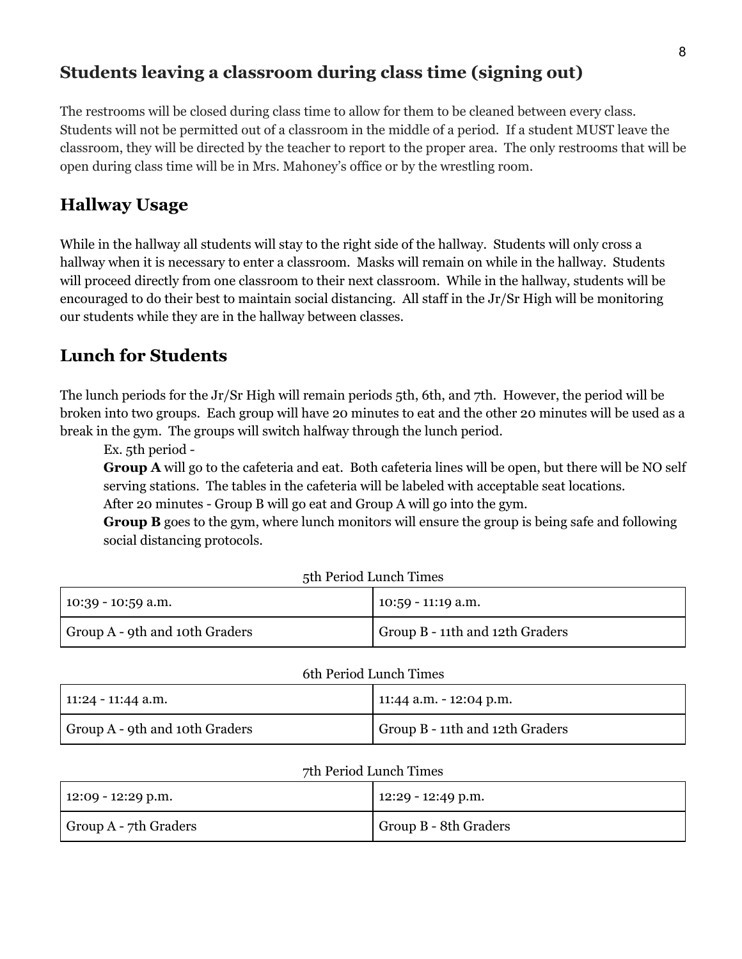#### **Students leaving a classroom during class time (signing out)**

The restrooms will be closed during class time to allow for them to be cleaned between every class. Students will not be permitted out of a classroom in the middle of a period. If a student MUST leave the classroom, they will be directed by the teacher to report to the proper area. The only restrooms that will be open during class time will be in Mrs. Mahoney's office or by the wrestling room.

#### **Hallway Usage**

While in the hallway all students will stay to the right side of the hallway. Students will only cross a hallway when it is necessary to enter a classroom. Masks will remain on while in the hallway. Students will proceed directly from one classroom to their next classroom. While in the hallway, students will be encouraged to do their best to maintain social distancing. All staff in the Jr/Sr High will be monitoring our students while they are in the hallway between classes.

#### **Lunch for Students**

The lunch periods for the Jr/Sr High will remain periods 5th, 6th, and 7th. However, the period will be broken into two groups. Each group will have 20 minutes to eat and the other 20 minutes will be used as a break in the gym. The groups will switch halfway through the lunch period.

Ex. 5th period -

**Group A** will go to the cafeteria and eat. Both cafeteria lines will be open, but there will be NO self serving stations. The tables in the cafeteria will be labeled with acceptable seat locations.

After 20 minutes - Group B will go eat and Group A will go into the gym.

**Group B** goes to the gym, where lunch monitors will ensure the group is being safe and following social distancing protocols.

| 10:39 - 10:59 a.m.             | $10:59 - 11:19$ a.m.            |
|--------------------------------|---------------------------------|
| Group A - 9th and 10th Graders | Group B - 11th and 12th Graders |

#### 6th Period Lunch Times

| 11:24 - 11:44 a.m.             | 11:44 a.m. $-$ 12:04 p.m.       |
|--------------------------------|---------------------------------|
| Group A - 9th and 10th Graders | Group B - 11th and 12th Graders |

#### 7th Period Lunch Times

| 12:09 - 12:29 p.m.    | $12:29 - 12:49$ p.m.  |
|-----------------------|-----------------------|
| Group A - 7th Graders | Group B - 8th Graders |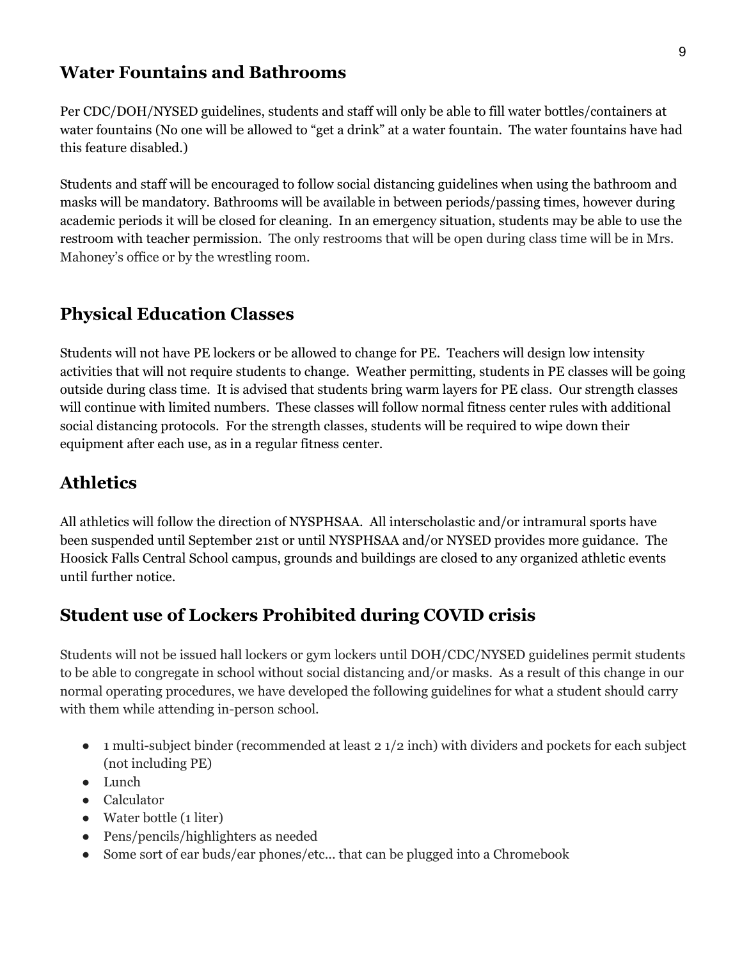#### **Water Fountains and Bathrooms**

Per CDC/DOH/NYSED guidelines, students and staff will only be able to fill water bottles/containers at water fountains (No one will be allowed to "get a drink" at a water fountain. The water fountains have had this feature disabled.)

Students and staff will be encouraged to follow social distancing guidelines when using the bathroom and masks will be mandatory. Bathrooms will be available in between periods/passing times, however during academic periods it will be closed for cleaning. In an emergency situation, students may be able to use the restroom with teacher permission. The only restrooms that will be open during class time will be in Mrs. Mahoney's office or by the wrestling room.

#### **Physical Education Classes**

Students will not have PE lockers or be allowed to change for PE. Teachers will design low intensity activities that will not require students to change. Weather permitting, students in PE classes will be going outside during class time. It is advised that students bring warm layers for PE class. Our strength classes will continue with limited numbers. These classes will follow normal fitness center rules with additional social distancing protocols. For the strength classes, students will be required to wipe down their equipment after each use, as in a regular fitness center.

### **Athletics**

All athletics will follow the direction of NYSPHSAA. All interscholastic and/or intramural sports have been suspended until September 21st or until NYSPHSAA and/or NYSED provides more guidance. The Hoosick Falls Central School campus, grounds and buildings are closed to any organized athletic events until further notice.

# **Student use of Lockers Prohibited during COVID crisis**

Students will not be issued hall lockers or gym lockers until DOH/CDC/NYSED guidelines permit students to be able to congregate in school without social distancing and/or masks. As a result of this change in our normal operating procedures, we have developed the following guidelines for what a student should carry with them while attending in-person school.

- 1 multi-subject binder (recommended at least 2 1/2 inch) with dividers and pockets for each subject (not including PE)
- Lunch
- Calculator
- Water bottle (1 liter)
- Pens/pencils/highlighters as needed
- Some sort of ear buds/ear phones/etc... that can be plugged into a Chromebook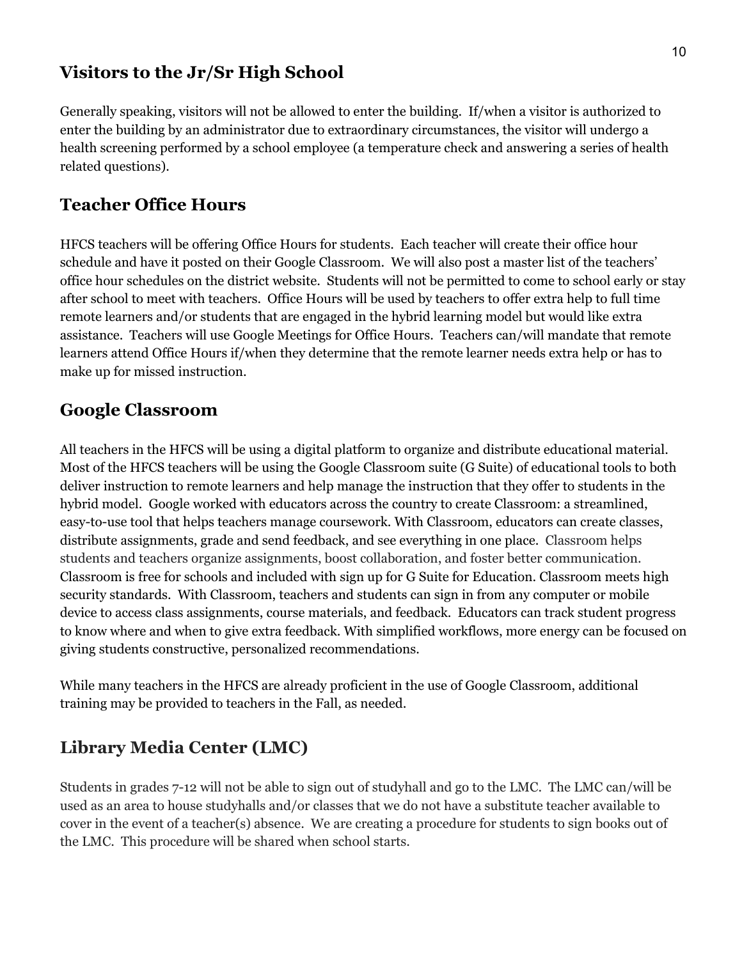#### **Visitors to the Jr/Sr High School**

Generally speaking, visitors will not be allowed to enter the building. If/when a visitor is authorized to enter the building by an administrator due to extraordinary circumstances, the visitor will undergo a health screening performed by a school employee (a temperature check and answering a series of health related questions).

# **Teacher Office Hours**

HFCS teachers will be offering Office Hours for students. Each teacher will create their office hour schedule and have it posted on their Google Classroom. We will also post a master list of the teachers' office hour schedules on the district website. Students will not be permitted to come to school early or stay after school to meet with teachers. Office Hours will be used by teachers to offer extra help to full time remote learners and/or students that are engaged in the hybrid learning model but would like extra assistance. Teachers will use Google Meetings for Office Hours. Teachers can/will mandate that remote learners attend Office Hours if/when they determine that the remote learner needs extra help or has to make up for missed instruction.

#### **Google Classroom**

All teachers in the HFCS will be using a digital platform to organize and distribute educational material. Most of the HFCS teachers will be using the Google Classroom suite (G Suite) of educational tools to both deliver instruction to remote learners and help manage the instruction that they offer to students in the hybrid model. Google worked with educators across the country to create Classroom: a streamlined, easy-to-use tool that helps teachers manage coursework. With Classroom, educators can create classes, distribute assignments, grade and send feedback, and see everything in one place. Classroom helps students and teachers organize assignments, boost collaboration, and foster better communication. Classroom is free for schools and included with sign up for G Suite for Education. Classroom meets high security standards. With Classroom, teachers and students can sign in from any computer or mobile device to access class assignments, course materials, and feedback. Educators can track student progress to know where and when to give extra feedback. With simplified workflows, more energy can be focused on giving students constructive, personalized recommendations.

While many teachers in the HFCS are already proficient in the use of Google Classroom, additional training may be provided to teachers in the Fall, as needed.

# **Library Media Center (LMC)**

Students in grades 7-12 will not be able to sign out of studyhall and go to the LMC. The LMC can/will be used as an area to house studyhalls and/or classes that we do not have a substitute teacher available to cover in the event of a teacher(s) absence. We are creating a procedure for students to sign books out of the LMC. This procedure will be shared when school starts.